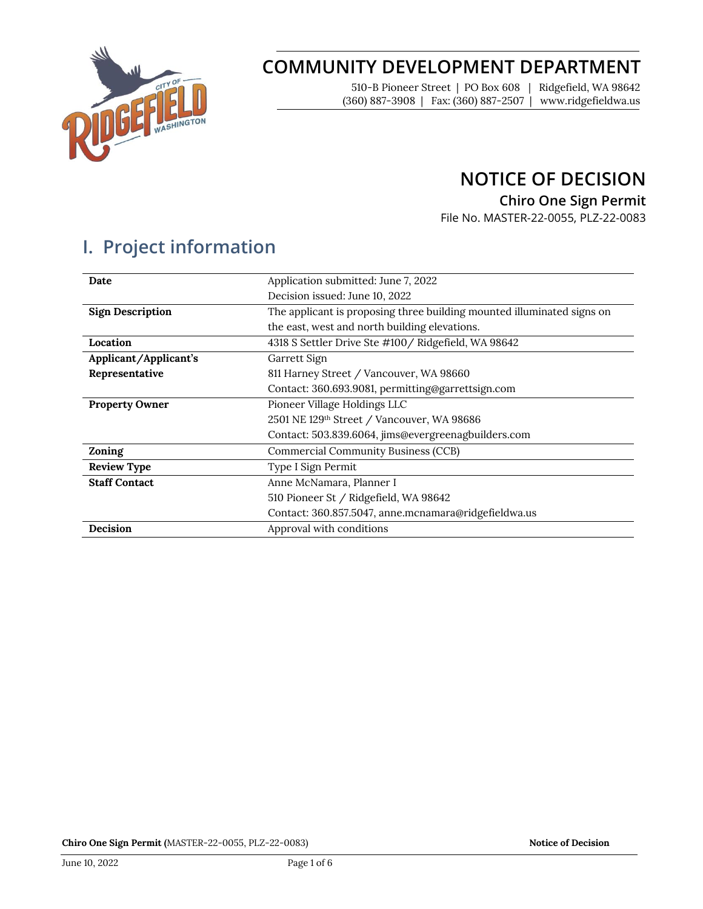

# **COMMUNITY DEVELOPMENT DEPARTMENT**

510-B Pioneer Street | PO Box 608 | Ridgefield, WA 98642 (360) 887-3908 | Fax: (360) 887-2507 | www.ridgefieldwa.us

### **NOTICE OF DECISION**

**Chiro One Sign Permit**

File No. MASTER-22-0055, PLZ-22-0083

# **I. Project information**

| Date                    | Application submitted: June 7, 2022                                    |  |  |
|-------------------------|------------------------------------------------------------------------|--|--|
|                         | Decision issued: June 10, 2022                                         |  |  |
| <b>Sign Description</b> | The applicant is proposing three building mounted illuminated signs on |  |  |
|                         | the east, west and north building elevations.                          |  |  |
| Location                | 4318 S Settler Drive Ste #100 / Ridgefield, WA 98642                   |  |  |
| Applicant/Applicant's   | Garrett Sign                                                           |  |  |
| Representative          | 811 Harney Street / Vancouver, WA 98660                                |  |  |
|                         | Contact: 360.693.9081, permitting@garrettsign.com                      |  |  |
| <b>Property Owner</b>   | Pioneer Village Holdings LLC                                           |  |  |
|                         | 2501 NE 129th Street / Vancouver, WA 98686                             |  |  |
|                         | Contact: 503.839.6064, jims@evergreenagbuilders.com                    |  |  |
| Zoning                  | <b>Commercial Community Business (CCB)</b>                             |  |  |
| <b>Review Type</b>      | Type I Sign Permit                                                     |  |  |
| <b>Staff Contact</b>    | Anne McNamara, Planner I                                               |  |  |
|                         | 510 Pioneer St / Ridgefield, WA 98642                                  |  |  |
|                         | Contact: 360.857.5047, anne.mcnamara@ridgefieldwa.us                   |  |  |
| Decision                | Approval with conditions                                               |  |  |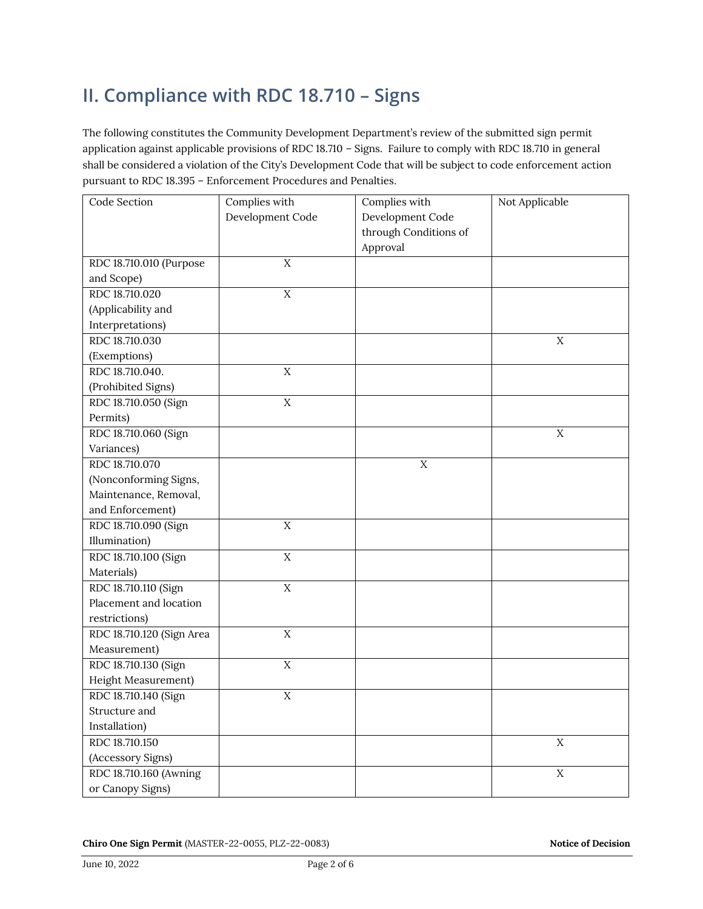# **II. Compliance with RDC 18.710 – Signs**

The following constitutes the Community Development Department's review of the submitted sign permit application against applicable provisions of RDC 18.710 – Signs. Failure to comply with RDC 18.710 in general shall be considered a violation of the City's Development Code that will be subject to code enforcement action pursuant to RDC 18.395 – Enforcement Procedures and Penalties.

| Code Section              | Complies with    | Complies with         | Not Applicable |
|---------------------------|------------------|-----------------------|----------------|
|                           | Development Code | Development Code      |                |
|                           |                  | through Conditions of |                |
|                           |                  | Approval              |                |
| RDC 18.710.010 (Purpose   | $\overline{X}$   |                       |                |
| and Scope)                |                  |                       |                |
| RDC 18.710.020            | $\rm X$          |                       |                |
| (Applicability and        |                  |                       |                |
| Interpretations)          |                  |                       |                |
| RDC 18.710.030            |                  |                       | X              |
| (Exemptions)              |                  |                       |                |
| RDC 18.710.040.           | $\rm X$          |                       |                |
| (Prohibited Signs)        |                  |                       |                |
| RDC 18.710.050 (Sign      | $\rm X$          |                       |                |
| Permits)                  |                  |                       |                |
| RDC 18.710.060 (Sign      |                  |                       | $\mathbf X$    |
| Variances)                |                  |                       |                |
| RDC 18.710.070            |                  | $\mathbf X$           |                |
| (Nonconforming Signs,     |                  |                       |                |
| Maintenance, Removal,     |                  |                       |                |
| and Enforcement)          |                  |                       |                |
| RDC 18.710.090 (Sign      | $\overline{X}$   |                       |                |
| Illumination)             |                  |                       |                |
| RDC 18.710.100 (Sign      | $\overline{X}$   |                       |                |
| Materials)                |                  |                       |                |
| RDC 18.710.110 (Sign      | $\overline{X}$   |                       |                |
| Placement and location    |                  |                       |                |
| restrictions)             |                  |                       |                |
| RDC 18.710.120 (Sign Area | X                |                       |                |
| Measurement)              |                  |                       |                |
| RDC 18.710.130 (Sign      | $\rm X$          |                       |                |
| Height Measurement)       |                  |                       |                |
| RDC 18.710.140 (Sign      | $\mathbf X$      |                       |                |
| Structure and             |                  |                       |                |
| Installation)             |                  |                       |                |
| RDC 18.710.150            |                  |                       | $\mathbf X$    |
| (Accessory Signs)         |                  |                       |                |
| RDC 18.710.160 (Awning    |                  |                       | $\mathbf X$    |
| or Canopy Signs)          |                  |                       |                |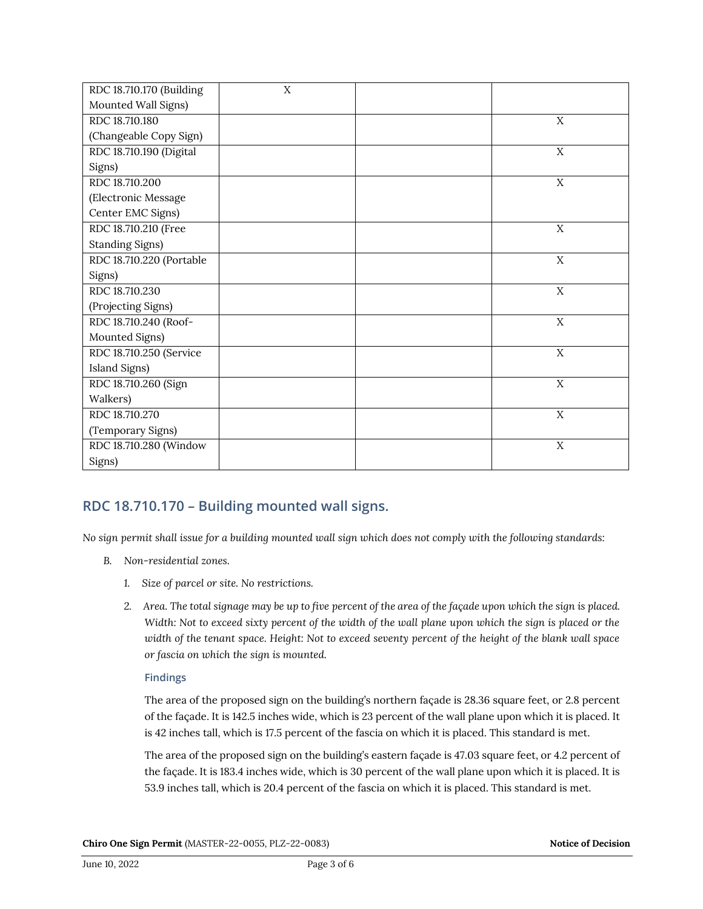| RDC 18.710.170 (Building | X |             |
|--------------------------|---|-------------|
| Mounted Wall Signs)      |   |             |
| RDC 18.710.180           |   | X           |
| (Changeable Copy Sign)   |   |             |
| RDC 18.710.190 (Digital  |   | X           |
| Signs)                   |   |             |
| RDC 18.710.200           |   | X           |
| (Electronic Message      |   |             |
| Center EMC Signs)        |   |             |
| RDC 18.710.210 (Free     |   | X           |
| <b>Standing Signs)</b>   |   |             |
| RDC 18.710.220 (Portable |   | X           |
| Signs)                   |   |             |
| RDC 18.710.230           |   | $\mathbf X$ |
| (Projecting Signs)       |   |             |
| RDC 18.710.240 (Roof-    |   | X           |
| Mounted Signs)           |   |             |
| RDC 18.710.250 (Service  |   | X           |
| Island Signs)            |   |             |
| RDC 18.710.260 (Sign     |   | X           |
| Walkers)                 |   |             |
| RDC 18.710.270           |   | X           |
| (Temporary Signs)        |   |             |
| RDC 18.710.280 (Window   |   | X           |
| Signs)                   |   |             |

### **RDC 18.710.170 – Building mounted wall signs.**

*No sign permit shall issue for a building mounted wall sign which does not comply with the following standards:* 

- *B. Non-residential zones.* 
	- *1. Size of parcel or site. No restrictions.*
	- *2. Area. The total signage may be up to five percent of the area of the façade upon which the sign is placed. Width: Not to exceed sixty percent of the width of the wall plane upon which the sign is placed or the width of the tenant space. Height: Not to exceed seventy percent of the height of the blank wall space or fascia on which the sign is mounted.*

#### **Findings**

The area of the proposed sign on the building's northern façade is 28.36 square feet, or 2.8 percent of the façade. It is 142.5 inches wide, which is 23 percent of the wall plane upon which it is placed. It is 42 inches tall, which is 17.5 percent of the fascia on which it is placed. This standard is met.

The area of the proposed sign on the building's eastern façade is 47.03 square feet, or 4.2 percent of the façade. It is 183.4 inches wide, which is 30 percent of the wall plane upon which it is placed. It is 53.9 inches tall, which is 20.4 percent of the fascia on which it is placed. This standard is met.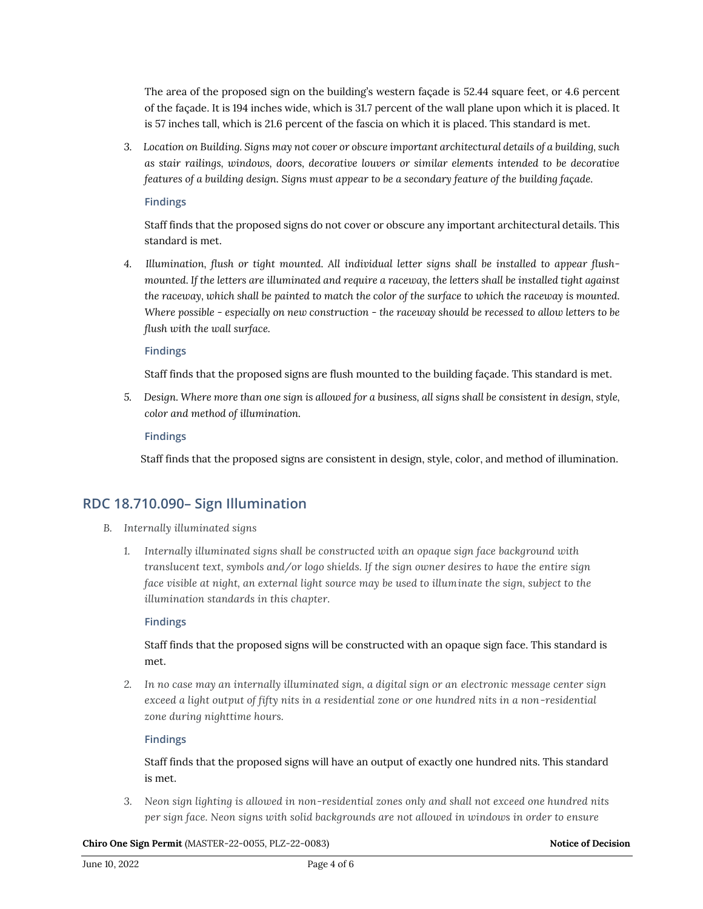The area of the proposed sign on the building's western façade is 52.44 square feet, or 4.6 percent of the façade. It is 194 inches wide, which is 31.7 percent of the wall plane upon which it is placed. It is 57 inches tall, which is 21.6 percent of the fascia on which it is placed. This standard is met.

*3. Location on Building. Signs may not cover or obscure important architectural details of a building, such as stair railings, windows, doors, decorative louvers or similar elements intended to be decorative features of a building design. Signs must appear to be a secondary feature of the building façade.*

#### **Findings**

Staff finds that the proposed signs do not cover or obscure any important architectural details. This standard is met.

*4. Illumination, flush or tight mounted. All individual letter signs shall be installed to appear flushmounted. If the letters are illuminated and require a raceway, the letters shall be installed tight against the raceway, which shall be painted to match the color of the surface to which the raceway is mounted. Where possible - especially on new construction - the raceway should be recessed to allow letters to be flush with the wall surface.*

#### **Findings**

Staff finds that the proposed signs are flush mounted to the building façade. This standard is met.

*5. Design. Where more than one sign is allowed for a business, all signs shall be consistent in design, style, color and method of illumination.*

#### **Findings**

Staff finds that the proposed signs are consistent in design, style, color, and method of illumination.

### **RDC 18.710.090– Sign Illumination**

- *B. Internally illuminated signs*
	- *1. Internally illuminated signs shall be constructed with an opaque sign face background with translucent text, symbols and/or logo shields. If the sign owner desires to have the entire sign face visible at night, an external light source may be used to illuminate the sign, subject to the illumination standards in this chapter.*

#### **Findings**

#### Staff finds that the proposed signs will be constructed with an opaque sign face. This standard is met.

*2. In no case may an internally illuminated sign, a digital sign or an electronic message center sign exceed a light output of fifty nits in a residential zone or one hundred nits in a non-residential zone during nighttime hours.*

#### **Findings**

Staff finds that the proposed signs will have an output of exactly one hundred nits. This standard is met.

*3. Neon sign lighting is allowed in non-residential zones only and shall not exceed one hundred nits per sign face. Neon signs with solid backgrounds are not allowed in windows in order to ensure* 

**Chiro One Sign Permit** (MASTER-22-0055, PLZ-22-0083) **Notice of Decision Notice of Decision**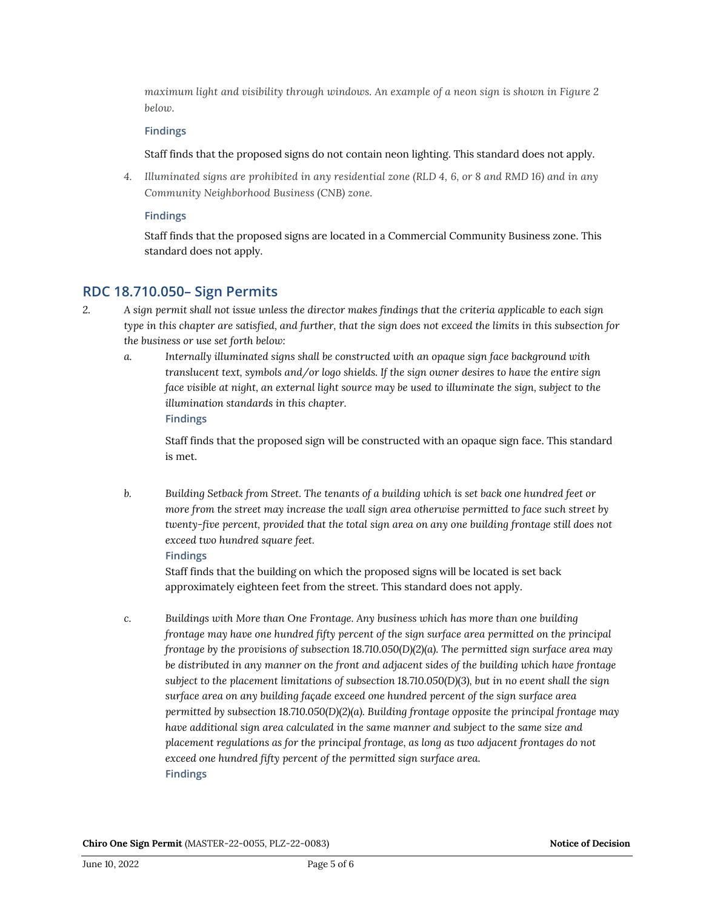*maximum light and visibility through windows. An example of a neon sign is shown in Figure 2 below.*

#### **Findings**

Staff finds that the proposed signs do not contain neon lighting. This standard does not apply.

*4. Illuminated signs are prohibited in any residential zone (RLD 4, 6, or 8 and RMD 16) and in any Community Neighborhood Business (CNB) zone.*

#### **Findings**

Staff finds that the proposed signs are located in a Commercial Community Business zone. This standard does not apply.

### **RDC 18.710.050– Sign Permits**

- *2. A sign permit shall not issue unless the director makes findings that the criteria applicable to each sign type in this chapter are satisfied, and further, that the sign does not exceed the limits in this subsection for the business or use set forth below:*
	- *a. Internally illuminated signs shall be constructed with an opaque sign face background with translucent text, symbols and/or logo shields. If the sign owner desires to have the entire sign face visible at night, an external light source may be used to illuminate the sign, subject to the illumination standards in this chapter.* **Findings**

Staff finds that the proposed sign will be constructed with an opaque sign face. This standard is met.

*b. Building Setback from Street. The tenants of a building which is set back one hundred feet or more from the street may increase the wall sign area otherwise permitted to face such street by twenty-five percent, provided that the total sign area on any one building frontage still does not exceed two hundred square feet.*

#### **Findings**

Staff finds that the building on which the proposed signs will be located is set back approximately eighteen feet from the street. This standard does not apply.

*c. Buildings with More than One Frontage. Any business which has more than one building frontage may have one hundred fifty percent of the sign surface area permitted on the principal frontage by the provisions of subsection 18.710.050(D)(2)(a). The permitted sign surface area may be distributed in any manner on the front and adjacent sides of the building which have frontage subject to the placement limitations of subsection 18.710.050(D)(3), but in no event shall the sign surface area on any building façade exceed one hundred percent of the sign surface area permitted by subsection 18.710.050(D)(2)(a). Building frontage opposite the principal frontage may have additional sign area calculated in the same manner and subject to the same size and placement regulations as for the principal frontage, as long as two adjacent frontages do not exceed one hundred fifty percent of the permitted sign surface area.* **Findings**